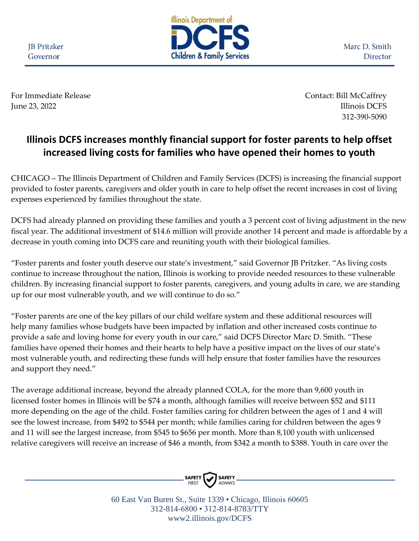**JB** Pritzker Governor



Marc D. Smith Director

For Immediate Release Contact: Bill McCaffrey June 23, 2022 Illinois DCFS

312-390-5090

## **Illinois DCFS increases monthly financial support for foster parents to help offset increased living costs for families who have opened their homes to youth**

CHICAGO – The Illinois Department of Children and Family Services (DCFS) is increasing the financial support provided to foster parents, caregivers and older youth in care to help offset the recent increases in cost of living expenses experienced by families throughout the state.

DCFS had already planned on providing these families and youth a 3 percent cost of living adjustment in the new fiscal year. The additional investment of \$14.6 million will provide another 14 percent and made is affordable by a decrease in youth coming into DCFS care and reuniting youth with their biological families.

"Foster parents and foster youth deserve our state's investment," said Governor JB Pritzker. "As living costs continue to increase throughout the nation, Illinois is working to provide needed resources to these vulnerable children. By increasing financial support to foster parents, caregivers, and young adults in care, we are standing up for our most vulnerable youth, and we will continue to do so."

"Foster parents are one of the key pillars of our child welfare system and these additional resources will help many families whose budgets have been impacted by inflation and other increased costs continue to provide a safe and loving home for every youth in our care," said DCFS Director Marc D. Smith. "These families have opened their homes and their hearts to help have a positive impact on the lives of our state's most vulnerable youth, and redirecting these funds will help ensure that foster families have the resources and support they need."

The average additional increase, beyond the already planned COLA, for the more than 9,600 youth in licensed foster homes in Illinois will be \$74 a month, although families will receive between \$52 and \$111 more depending on the age of the child. Foster families caring for children between the ages of 1 and 4 will see the lowest increase, from \$492 to \$544 per month; while families caring for children between the ages 9 and 11 will see the largest increase, from \$545 to \$656 per month. More than 8,100 youth with unlicensed relative caregivers will receive an increase of \$46 a month, from \$342 a month to \$388. Youth in care over the



60 East Van Buren St., Suite 1339 • Chicago, Illinois 60605 312-814-6800 • 312-814-8783/TTY www2.illinois.gov/DCFS